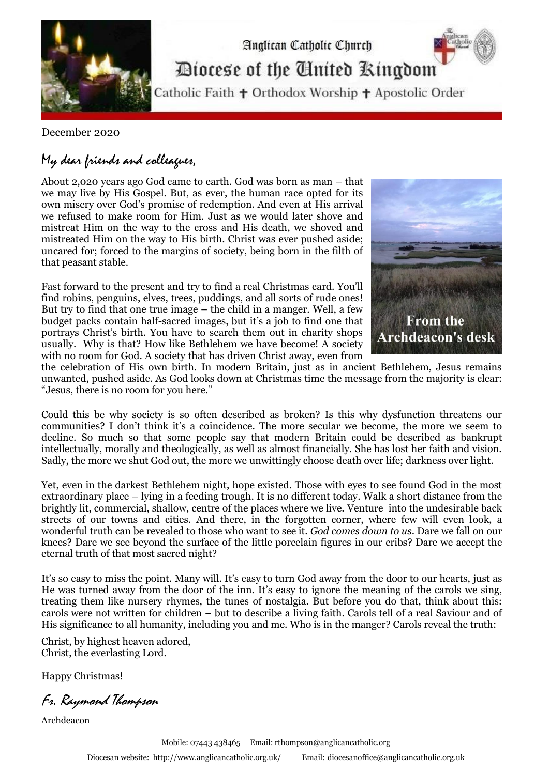

Analican Catholic Church Diocese of the Cinited Ringdom

Catholic Faith + Orthodox Worship + Apostolic Order

December 2020

## My dear friends and colleagues,

About 2,020 years ago God came to earth. God was born as man – that we may live by His Gospel. But, as ever, the human race opted for its own misery over God's promise of redemption. And even at His arrival we refused to make room for Him. Just as we would later shove and mistreat Him on the way to the cross and His death, we shoved and mistreated Him on the way to His birth. Christ was ever pushed aside; uncared for; forced to the margins of society, being born in the filth of that peasant stable.

Fast forward to the present and try to find a real Christmas card. You'll find robins, penguins, elves, trees, puddings, and all sorts of rude ones! But try to find that one true image – the child in a manger. Well, a few budget packs contain half-sacred images, but it's a job to find one that portrays Christ's birth. You have to search them out in charity shops usually. Why is that? How like Bethlehem we have become! A society with no room for God. A society that has driven Christ away, even from



the celebration of His own birth. In modern Britain, just as in ancient Bethlehem, Jesus remains unwanted, pushed aside. As God looks down at Christmas time the message from the majority is clear: "Jesus, there is no room for you here."

Could this be why society is so often described as broken? Is this why dysfunction threatens our communities? I don't think it's a coincidence. The more secular we become, the more we seem to decline. So much so that some people say that modern Britain could be described as bankrupt intellectually, morally and theologically, as well as almost financially. She has lost her faith and vision. Sadly, the more we shut God out, the more we unwittingly choose death over life; darkness over light.

Yet, even in the darkest Bethlehem night, hope existed. Those with eyes to see found God in the most extraordinary place – lying in a feeding trough. It is no different today. Walk a short distance from the brightly lit, commercial, shallow, centre of the places where we live. Venture into the undesirable back streets of our towns and cities. And there, in the forgotten corner, where few will even look, a wonderful truth can be revealed to those who want to see it. *God comes down to us*. Dare we fall on our knees? Dare we see beyond the surface of the little porcelain figures in our cribs? Dare we accept the eternal truth of that most sacred night?

It's so easy to miss the point. Many will. It's easy to turn God away from the door to our hearts, just as He was turned away from the door of the inn. It's easy to ignore the meaning of the carols we sing, treating them like nursery rhymes, the tunes of nostalgia. But before you do that, think about this: carols were not written for children – but to describe a living faith. Carols tell of a real Saviour and of His significance to all humanity, including you and me. Who is in the manger? Carols reveal the truth:

Christ, by highest heaven adored, Christ, the everlasting Lord.

Happy Christmas!

Fr. Raymond Thompson

Archdeacon